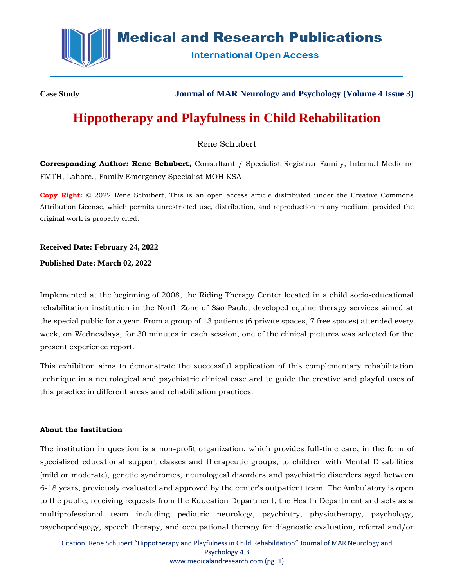

# **Medical and Research Publications**

**International Open Access** 

**Case Study Journal of MAR Neurology and Psychology (Volume 4 Issue 3)**

# **Hippotherapy and Playfulness in Child Rehabilitation**

# Rene Schubert

**Corresponding Author: Rene Schubert,** Consultant / Specialist Registrar Family, Internal Medicine FMTH, Lahore., Family Emergency Specialist MOH KSA

**Copy Right:** © 2022 Rene Schubert, This is an open access article distributed under the Creative Commons Attribution License, which permits unrestricted use, distribution, and reproduction in any medium, provided the original work is properly cited.

**Received Date: February 24, 2022**

**Published Date: March 02, 2022**

Implemented at the beginning of 2008, the Riding Therapy Center located in a child socio-educational rehabilitation institution in the North Zone of São Paulo, developed equine therapy services aimed at the special public for a year. From a group of 13 patients (6 private spaces, 7 free spaces) attended every week, on Wednesdays, for 30 minutes in each session, one of the clinical pictures was selected for the present experience report.

This exhibition aims to demonstrate the successful application of this complementary rehabilitation technique in a neurological and psychiatric clinical case and to guide the creative and playful uses of this practice in different areas and rehabilitation practices.

## **About the Institution**

The institution in question is a non-profit organization, which provides full-time care, in the form of specialized educational support classes and therapeutic groups, to children with Mental Disabilities (mild or moderate), genetic syndromes, neurological disorders and psychiatric disorders aged between 6-18 years, previously evaluated and approved by the center's outpatient team. The Ambulatory is open to the public, receiving requests from the Education Department, the Health Department and acts as a multiprofessional team including pediatric neurology, psychiatry, physiotherapy, psychology, psychopedagogy, speech therapy, and occupational therapy for diagnostic evaluation, referral and/or

Citation: Rene Schubert "Hippotherapy and Playfulness in Child Rehabilitation" Journal of MAR Neurology and Psychology.4.3 [www.medicalandresearch.com](http://www.medicalandresearch.com/) (pg. 1)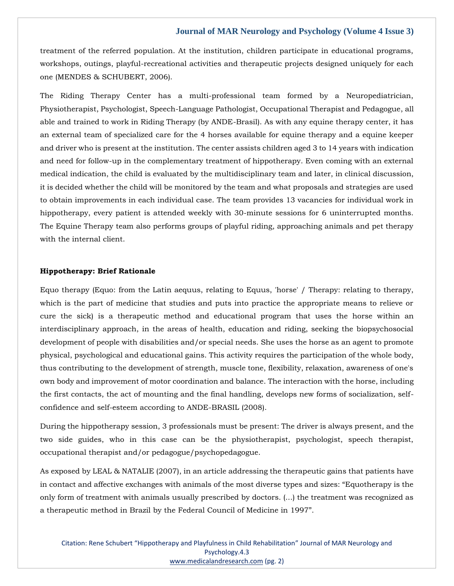treatment of the referred population. At the institution, children participate in educational programs, workshops, outings, playful-recreational activities and therapeutic projects designed uniquely for each one (MENDES & SCHUBERT, 2006).

The Riding Therapy Center has a multi-professional team formed by a Neuropediatrician, Physiotherapist, Psychologist, Speech-Language Pathologist, Occupational Therapist and Pedagogue, all able and trained to work in Riding Therapy (by ANDE-Brasil). As with any equine therapy center, it has an external team of specialized care for the 4 horses available for equine therapy and a equine keeper and driver who is present at the institution. The center assists children aged 3 to 14 years with indication and need for follow-up in the complementary treatment of hippotherapy. Even coming with an external medical indication, the child is evaluated by the multidisciplinary team and later, in clinical discussion, it is decided whether the child will be monitored by the team and what proposals and strategies are used to obtain improvements in each individual case. The team provides 13 vacancies for individual work in hippotherapy, every patient is attended weekly with 30-minute sessions for 6 uninterrupted months. The Equine Therapy team also performs groups of playful riding, approaching animals and pet therapy with the internal client.

#### **Hippotherapy: Brief Rationale**

Equo therapy (Equo: from the Latin aequus, relating to Equus, 'horse' / Therapy: relating to therapy, which is the part of medicine that studies and puts into practice the appropriate means to relieve or cure the sick) is a therapeutic method and educational program that uses the horse within an interdisciplinary approach, in the areas of health, education and riding, seeking the biopsychosocial development of people with disabilities and/or special needs. She uses the horse as an agent to promote physical, psychological and educational gains. This activity requires the participation of the whole body, thus contributing to the development of strength, muscle tone, flexibility, relaxation, awareness of one's own body and improvement of motor coordination and balance. The interaction with the horse, including the first contacts, the act of mounting and the final handling, develops new forms of socialization, selfconfidence and self-esteem according to ANDE-BRASIL (2008).

During the hippotherapy session, 3 professionals must be present: The driver is always present, and the two side guides, who in this case can be the physiotherapist, psychologist, speech therapist, occupational therapist and/or pedagogue/psychopedagogue.

As exposed by LEAL & NATALIE (2007), in an article addressing the therapeutic gains that patients have in contact and affective exchanges with animals of the most diverse types and sizes: "Equotherapy is the only form of treatment with animals usually prescribed by doctors. (...) the treatment was recognized as a therapeutic method in Brazil by the Federal Council of Medicine in 1997".

Citation: Rene Schubert "Hippotherapy and Playfulness in Child Rehabilitation" Journal of MAR Neurology and Psychology.4.3 [www.medicalandresearch.com](http://www.medicalandresearch.com/) (pg. 2)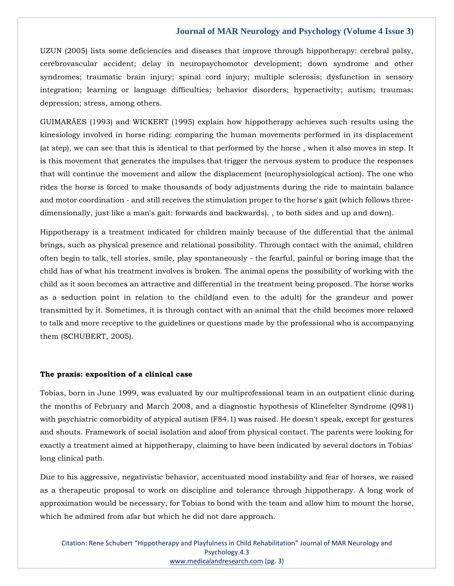UZUN (2005) lists some deficiencies and diseases that improve through hippotherapy: cerebral palsy, cerebrovascular accident; delay in neuropsychomotor development; down syndrome and other syndromes; traumatic brain injury; spinal cord injury; multiple sclerosis; dysfunction in sensory integration; learning or language difficulties; behavior disorders; hyperactivity; autism; traumas; depression; stress, among others.

GUIMARÃES (1993) and WICKERT (1995) explain how hippotherapy achieves such results using the kinesiology involved in horse riding: comparing the human movements performed in its displacement (at step), we can see that this is identical to that performed by the horse , when it also moves in step. It is this movement that generates the impulses that trigger the nervous system to produce the responses that will continue the movement and allow the displacement (neurophysiological action). The one who rides the horse is forced to make thousands of body adjustments during the ride to maintain balance and motor coordination - and still receives the stimulation proper to the horse's gait (which follows threedimensionally, just like a man's gait: forwards and backwards). , to both sides and up and down).

Hippotherapy is a treatment indicated for children mainly because of the differential that the animal brings, such as physical presence and relational possibility. Through contact with the animal, children often begin to talk, tell stories, smile, play spontaneously - the fearful, painful or boring image that the child has of what his treatment involves is broken. The animal opens the possibility of working with the child as it soon becomes an attractive and differential in the treatment being proposed. The horse works as a seduction point in relation to the child(and even to the adult) for the grandeur and power transmitted by it. Sometimes, it is through contact with an animal that the child becomes more relaxed to talk and more receptive to the guidelines or questions made by the professional who is accompanying them (SCHUBERT, 2005).

#### **The praxis: exposition of a clinical case**

Tobias, born in June 1999, was evaluated by our multiprofessional team in an outpatient clinic during the months of February and March 2008, and a diagnostic hypothesis of Klinefelter Syndrome (Q981) with psychiatric comorbidity of atypical autism (F84.1) was raised. He doesn't speak, except for gestures and shouts. Framework of social isolation and aloof from physical contact. The parents were looking for exactly a treatment aimed at hippotherapy, claiming to have been indicated by several doctors in Tobias' long clinical path.

Due to his aggressive, negativistic behavior, accentuated mood instability and fear of horses, we raised as a therapeutic proposal to work on discipline and tolerance through hippotherapy. A long work of approximation would be necessary, for Tobias to bond with the team and allow him to mount the horse, which he admired from afar but which he did not dare approach.

Citation: Rene Schubert "Hippotherapy and Playfulness in Child Rehabilitation" Journal of MAR Neurology and Psychology.4.3 [www.medicalandresearch.com](http://www.medicalandresearch.com/) (pg. 3)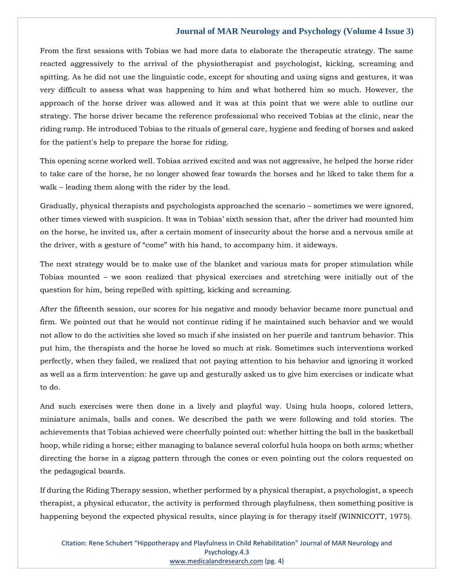From the first sessions with Tobias we had more data to elaborate the therapeutic strategy. The same reacted aggressively to the arrival of the physiotherapist and psychologist, kicking, screaming and spitting. As he did not use the linguistic code, except for shouting and using signs and gestures, it was very difficult to assess what was happening to him and what bothered him so much. However, the approach of the horse driver was allowed and it was at this point that we were able to outline our strategy. The horse driver became the reference professional who received Tobias at the clinic, near the riding ramp. He introduced Tobias to the rituals of general care, hygiene and feeding of horses and asked for the patient's help to prepare the horse for riding.

This opening scene worked well. Tobias arrived excited and was not aggressive, he helped the horse rider to take care of the horse, he no longer showed fear towards the horses and he liked to take them for a walk – leading them along with the rider by the lead.

Gradually, physical therapists and psychologists approached the scenario – sometimes we were ignored, other times viewed with suspicion. It was in Tobias' sixth session that, after the driver had mounted him on the horse, he invited us, after a certain moment of insecurity about the horse and a nervous smile at the driver, with a gesture of "come" with his hand, to accompany him. it sideways.

The next strategy would be to make use of the blanket and various mats for proper stimulation while Tobias mounted – we soon realized that physical exercises and stretching were initially out of the question for him, being repelled with spitting, kicking and screaming.

After the fifteenth session, our scores for his negative and moody behavior became more punctual and firm. We pointed out that he would not continue riding if he maintained such behavior and we would not allow to do the activities she loved so much if she insisted on her puerile and tantrum behavior. This put him, the therapists and the horse he loved so much at risk. Sometimes such interventions worked perfectly, when they failed, we realized that not paying attention to his behavior and ignoring it worked as well as a firm intervention: he gave up and gesturally asked us to give him exercises or indicate what to do.

And such exercises were then done in a lively and playful way. Using hula hoops, colored letters, miniature animals, balls and cones. We described the path we were following and told stories. The achievements that Tobias achieved were cheerfully pointed out: whether hitting the ball in the basketball hoop, while riding a horse; either managing to balance several colorful hula hoops on both arms; whether directing the horse in a zigzag pattern through the cones or even pointing out the colors requested on the pedagogical boards.

If during the Riding Therapy session, whether performed by a physical therapist, a psychologist, a speech therapist, a physical educator, the activity is performed through playfulness, then something positive is happening beyond the expected physical results, since playing is for therapy itself (WINNICOTT, 1975).

Citation: Rene Schubert "Hippotherapy and Playfulness in Child Rehabilitation" Journal of MAR Neurology and Psychology.4.3 [www.medicalandresearch.com](http://www.medicalandresearch.com/) (pg. 4)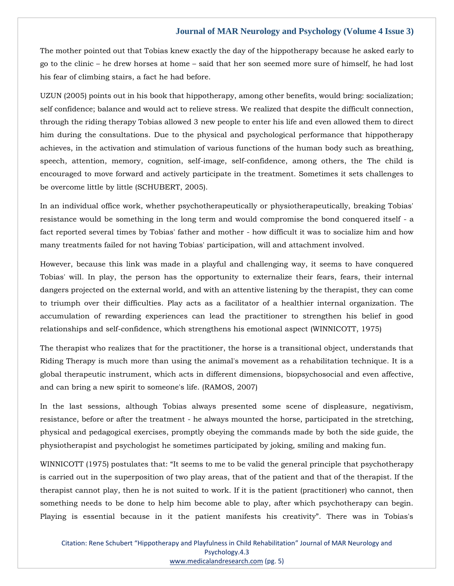The mother pointed out that Tobias knew exactly the day of the hippotherapy because he asked early to go to the clinic – he drew horses at home – said that her son seemed more sure of himself, he had lost his fear of climbing stairs, a fact he had before.

UZUN (2005) points out in his book that hippotherapy, among other benefits, would bring: socialization; self confidence; balance and would act to relieve stress. We realized that despite the difficult connection, through the riding therapy Tobias allowed 3 new people to enter his life and even allowed them to direct him during the consultations. Due to the physical and psychological performance that hippotherapy achieves, in the activation and stimulation of various functions of the human body such as breathing, speech, attention, memory, cognition, self-image, self-confidence, among others, the The child is encouraged to move forward and actively participate in the treatment. Sometimes it sets challenges to be overcome little by little (SCHUBERT, 2005).

In an individual office work, whether psychotherapeutically or physiotherapeutically, breaking Tobias' resistance would be something in the long term and would compromise the bond conquered itself - a fact reported several times by Tobias' father and mother - how difficult it was to socialize him and how many treatments failed for not having Tobias' participation, will and attachment involved.

However, because this link was made in a playful and challenging way, it seems to have conquered Tobias' will. In play, the person has the opportunity to externalize their fears, fears, their internal dangers projected on the external world, and with an attentive listening by the therapist, they can come to triumph over their difficulties. Play acts as a facilitator of a healthier internal organization. The accumulation of rewarding experiences can lead the practitioner to strengthen his belief in good relationships and self-confidence, which strengthens his emotional aspect (WINNICOTT, 1975)

The therapist who realizes that for the practitioner, the horse is a transitional object, understands that Riding Therapy is much more than using the animal's movement as a rehabilitation technique. It is a global therapeutic instrument, which acts in different dimensions, biopsychosocial and even affective, and can bring a new spirit to someone's life. (RAMOS, 2007)

In the last sessions, although Tobias always presented some scene of displeasure, negativism, resistance, before or after the treatment - he always mounted the horse, participated in the stretching, physical and pedagogical exercises, promptly obeying the commands made by both the side guide, the physiotherapist and psychologist he sometimes participated by joking, smiling and making fun.

WINNICOTT (1975) postulates that: "It seems to me to be valid the general principle that psychotherapy is carried out in the superposition of two play areas, that of the patient and that of the therapist. If the therapist cannot play, then he is not suited to work. If it is the patient (practitioner) who cannot, then something needs to be done to help him become able to play, after which psychotherapy can begin. Playing is essential because in it the patient manifests his creativity". There was in Tobias's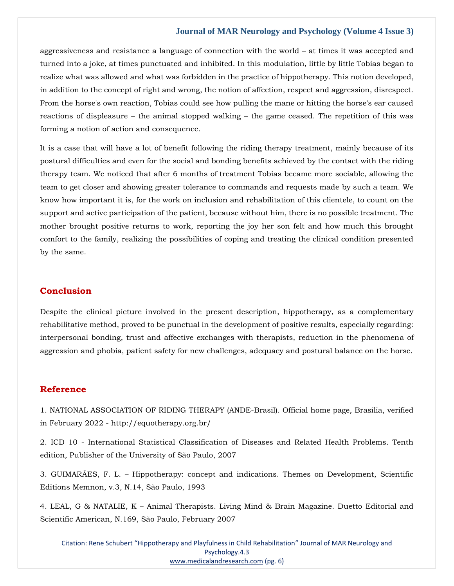aggressiveness and resistance a language of connection with the world – at times it was accepted and turned into a joke, at times punctuated and inhibited. In this modulation, little by little Tobias began to realize what was allowed and what was forbidden in the practice of hippotherapy. This notion developed, in addition to the concept of right and wrong, the notion of affection, respect and aggression, disrespect. From the horse's own reaction, Tobias could see how pulling the mane or hitting the horse's ear caused reactions of displeasure – the animal stopped walking – the game ceased. The repetition of this was forming a notion of action and consequence.

It is a case that will have a lot of benefit following the riding therapy treatment, mainly because of its postural difficulties and even for the social and bonding benefits achieved by the contact with the riding therapy team. We noticed that after 6 months of treatment Tobias became more sociable, allowing the team to get closer and showing greater tolerance to commands and requests made by such a team. We know how important it is, for the work on inclusion and rehabilitation of this clientele, to count on the support and active participation of the patient, because without him, there is no possible treatment. The mother brought positive returns to work, reporting the joy her son felt and how much this brought comfort to the family, realizing the possibilities of coping and treating the clinical condition presented by the same.

## **Conclusion**

Despite the clinical picture involved in the present description, hippotherapy, as a complementary rehabilitative method, proved to be punctual in the development of positive results, especially regarding: interpersonal bonding, trust and affective exchanges with therapists, reduction in the phenomena of aggression and phobia, patient safety for new challenges, adequacy and postural balance on the horse.

## **Reference**

1. NATIONAL ASSOCIATION OF RIDING THERAPY (ANDE-Brasil). Official home page, Brasília, verified in February 2022 - http://equotherapy.org.br/

2. ICD 10 - International Statistical Classification of Diseases and Related Health Problems. Tenth edition, Publisher of the University of São Paulo, 2007

3. GUIMARÃES, F. L. – Hippotherapy: concept and indications. Themes on Development, Scientific Editions Memnon, v.3, N.14, São Paulo, 1993

4. LEAL, G & NATALIE, K – Animal Therapists. Living Mind & Brain Magazine. Duetto Editorial and Scientific American, N.169, São Paulo, February 2007

Citation: Rene Schubert "Hippotherapy and Playfulness in Child Rehabilitation" Journal of MAR Neurology and Psychology.4.3 [www.medicalandresearch.com](http://www.medicalandresearch.com/) (pg. 6)